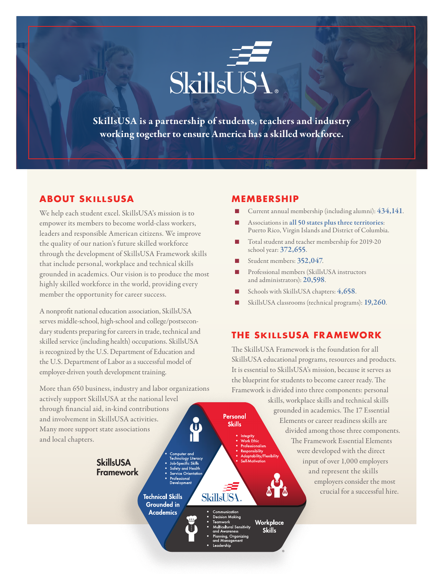

SkillsUSA is a partnership of students, teachers and industry working together to ensure America has a skilled workforce.

# **ABOUT SKILLSUSA**

We help each student excel. SkillsUSA's mission is to empower its members to become world-class workers, leaders and responsible American citizens. We improve the quality of our nation's future skilled workforce through the development of SkillsUSA Framework skills that include personal, workplace and technical skills grounded in academics. Our vision is to produce the most highly skilled workforce in the world, providing every member the opportunity for career success.

A nonprofit national education association, SkillsUSA serves middle-school, high-school and college/postsecondary students preparing for careers in trade, technical and skilled service (including health) occupations. SkillsUSA is recognized by the U.S. Department of Education and the U.S. Department of Labor as a successful model of employer-driven youth development training.

More than 650 business, industry and labor organizations actively support SkillsUSA at the national level through financial aid, in-kind contributions and involvement in SkillsUSA activities. Many more support state associations and local chapters.

> **SkillsUSA** Framework

**Technical Skills Grounded** in **Academics** 

- 
- 
- iltural Sensitivity
- g, Organizing

Personal **Skills** 

> Vork Ethic **onsibility**

> > Workplace

**Skills** 

#### **MEMBERSHIP**

- Current annual membership (including alumni):  $434,141$ .
- Associations in all 50 states plus three territories: Puerto Rico, Virgin Islands and District of Columbia.
- Total student and teacher membership for 2019-20 school year: 372,655.
- Student members: 352,047.
- n Professional members (SkillsUSA instructors and administrators): 20,598.
- Schools with SkillsUSA chapters: 4,658.
- SkillsUSA classrooms (technical programs): 19,260.

# **THE SKILLSUSA FRAMEWORK**

The SkillsUSA Framework is the foundation for all SkillsUSA educational programs, resources and products. It is essential to SkillsUSA's mission, because it serves as the blueprint for students to become career ready. The Framework is divided into three components: personal

> skills, workplace skills and technical skills grounded in academics. The 17 Essential Elements or career readiness skills are divided among those three components. The Framework Essential Elements were developed with the direct ability/Flexibilit input of over 1,000 employers and represent the skills employers consider the most crucial for a successful hire.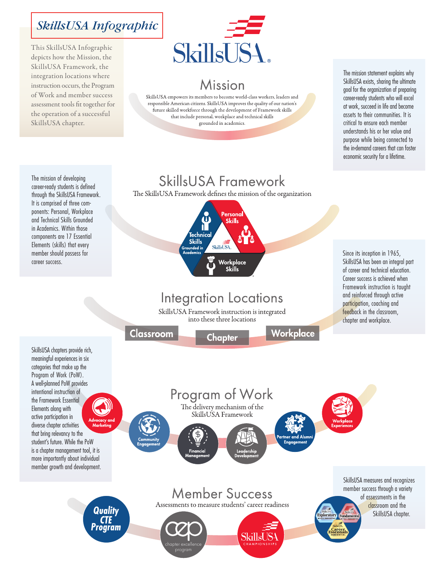# SkillsUSA Infographic

This SkillsUSA Infographic depicts how the Mission, the SkillsUSA Framework, the integration locations where instruction occurs, the Program of Work and member success assessment tools fit together for the operation of a successful SkillsUSA chapter.



# Mission

SkillsUSA empowers its members to become world-class workers, leaders and responsible American citizens. SkillsUSA improves the quality of our nation's future skilled workforce through the development of Framework skills that include personal, workplace and technical skills grounded in academics.

The mission statement explains why SkillsUSA exists, sharing the ultimate goal for the organization of preparing career-ready students who will excel at work, succeed in life and become assets to their communities. It is critical to ensure each member understands his or her value and purpose while being connected to the in-demand careers that can foster economic security for a lifetime.

The mission of developing career-ready students is defined through the SkillsUSA Framework. It is comprised of three components: Personal, Workplace and Technical Skills Grounded in Academics. Within those components are 17 Essential Elements (skills) that every member should possess for career success.

SkillsUSA chapters provide rich,

# SkillsUSA Framework

The SkillsUSA Framework defines the mission of the organization

### Personal  $\mathbf{u}$ **Skills Technical Skills SkillsUSA** Workplace Skille

# **Integration Locations**

SkillsUSA Framework instruction is integrated into these three locations

Chapter

Classroom

Workplace

Since its inception in 1965, SkillsUSA has been an integral part of career and technical education. Career success is achieved when Framework instruction is taught and reinforced through active participation, coaching and feedback in the classroom, chapter and workplace.